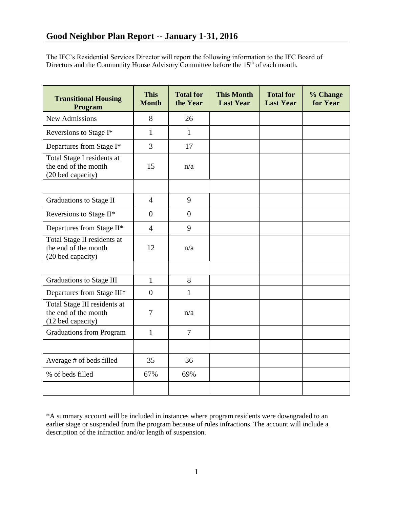The IFC's Residential Services Director will report the following information to the IFC Board of Directors and the Community House Advisory Committee before the  $15<sup>th</sup>$  of each month.

| <b>Transitional Housing</b><br>Program                                    | <b>This</b><br><b>Month</b> | <b>Total for</b><br>the Year | <b>This Month</b><br><b>Last Year</b> | <b>Total for</b><br><b>Last Year</b> | % Change<br>for Year |
|---------------------------------------------------------------------------|-----------------------------|------------------------------|---------------------------------------|--------------------------------------|----------------------|
| <b>New Admissions</b>                                                     | 8                           | 26                           |                                       |                                      |                      |
| Reversions to Stage I*                                                    | $\mathbf{1}$                | 1                            |                                       |                                      |                      |
| Departures from Stage I*                                                  | 3                           | 17                           |                                       |                                      |                      |
| Total Stage I residents at<br>the end of the month<br>(20 bed capacity)   | 15                          | n/a                          |                                       |                                      |                      |
|                                                                           |                             |                              |                                       |                                      |                      |
| Graduations to Stage II                                                   | $\overline{4}$              | 9                            |                                       |                                      |                      |
| Reversions to Stage II*                                                   | $\overline{0}$              | $\theta$                     |                                       |                                      |                      |
| Departures from Stage II*                                                 | $\overline{4}$              | 9                            |                                       |                                      |                      |
| Total Stage II residents at<br>the end of the month<br>(20 bed capacity)  | 12                          | n/a                          |                                       |                                      |                      |
|                                                                           |                             |                              |                                       |                                      |                      |
| <b>Graduations to Stage III</b>                                           | $\mathbf{1}$                | 8                            |                                       |                                      |                      |
| Departures from Stage III*                                                | $\overline{0}$              | $\mathbf{1}$                 |                                       |                                      |                      |
| Total Stage III residents at<br>the end of the month<br>(12 bed capacity) | 7                           | n/a                          |                                       |                                      |                      |
| <b>Graduations from Program</b>                                           | $\mathbf{1}$                | $\overline{7}$               |                                       |                                      |                      |
|                                                                           |                             |                              |                                       |                                      |                      |
| Average # of beds filled                                                  | 35                          | 36                           |                                       |                                      |                      |
| % of beds filled                                                          | 67%                         | 69%                          |                                       |                                      |                      |
|                                                                           |                             |                              |                                       |                                      |                      |

\*A summary account will be included in instances where program residents were downgraded to an earlier stage or suspended from the program because of rules infractions. The account will include a description of the infraction and/or length of suspension.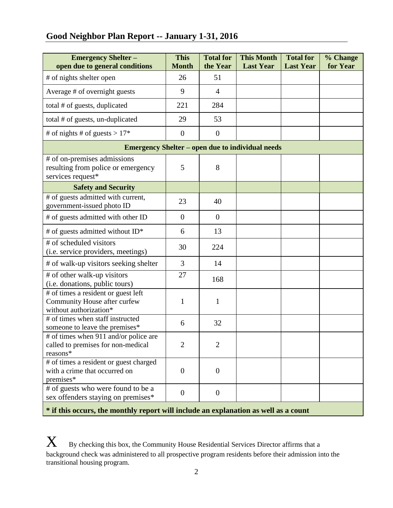# **Good Neighbor Plan Report -- January 1-31, 2016**

| <b>Emergency Shelter -</b><br>open due to general conditions                                  | <b>This</b><br><b>Month</b> | <b>Total for</b><br>the Year | <b>This Month</b><br><b>Last Year</b> | <b>Total for</b><br><b>Last Year</b> | % Change<br>for Year |  |  |  |
|-----------------------------------------------------------------------------------------------|-----------------------------|------------------------------|---------------------------------------|--------------------------------------|----------------------|--|--|--|
| # of nights shelter open                                                                      | 26                          | 51                           |                                       |                                      |                      |  |  |  |
| Average # of overnight guests                                                                 | 9                           | $\overline{4}$               |                                       |                                      |                      |  |  |  |
| total # of guests, duplicated                                                                 | 221                         | 284                          |                                       |                                      |                      |  |  |  |
| total # of guests, un-duplicated                                                              | 29                          | 53                           |                                       |                                      |                      |  |  |  |
| # of nights # of guests > $17*$                                                               | $\boldsymbol{0}$            | $\overline{0}$               |                                       |                                      |                      |  |  |  |
| <b>Emergency Shelter – open due to individual needs</b>                                       |                             |                              |                                       |                                      |                      |  |  |  |
| # of on-premises admissions<br>resulting from police or emergency<br>services request*        | 5                           | 8                            |                                       |                                      |                      |  |  |  |
| <b>Safety and Security</b>                                                                    |                             |                              |                                       |                                      |                      |  |  |  |
| # of guests admitted with current,<br>government-issued photo ID                              | 23                          | 40                           |                                       |                                      |                      |  |  |  |
| # of guests admitted with other ID                                                            | $\overline{0}$              | $\overline{0}$               |                                       |                                      |                      |  |  |  |
| # of guests admitted without ID*                                                              | 6                           | 13                           |                                       |                                      |                      |  |  |  |
| # of scheduled visitors<br>(i.e. service providers, meetings)                                 | 30                          | 224                          |                                       |                                      |                      |  |  |  |
| # of walk-up visitors seeking shelter                                                         | 3                           | 14                           |                                       |                                      |                      |  |  |  |
| # of other walk-up visitors<br>(i.e. donations, public tours)                                 | 27                          | 168                          |                                       |                                      |                      |  |  |  |
| # of times a resident or guest left<br>Community House after curfew<br>without authorization* | 1                           | $\mathbf{1}$                 |                                       |                                      |                      |  |  |  |
| # of times when staff instructed<br>someone to leave the premises*                            | 6                           | 32                           |                                       |                                      |                      |  |  |  |
| # of times when 911 and/or police are<br>called to premises for non-medical<br>reasons*       | $\overline{2}$              | 2                            |                                       |                                      |                      |  |  |  |
| # of times a resident or guest charged<br>with a crime that occurred on<br>premises*          | $\overline{0}$              | $\overline{0}$               |                                       |                                      |                      |  |  |  |
| # of guests who were found to be a<br>sex offenders staying on premises*                      | $\boldsymbol{0}$            | $\overline{0}$               |                                       |                                      |                      |  |  |  |

**\* if this occurs, the monthly report will include an explanation as well as a count**

 $\boldsymbol{X}$  By checking this box, the Community House Residential Services Director affirms that a background check was administered to all prospective program residents before their admission into the transitional housing program.